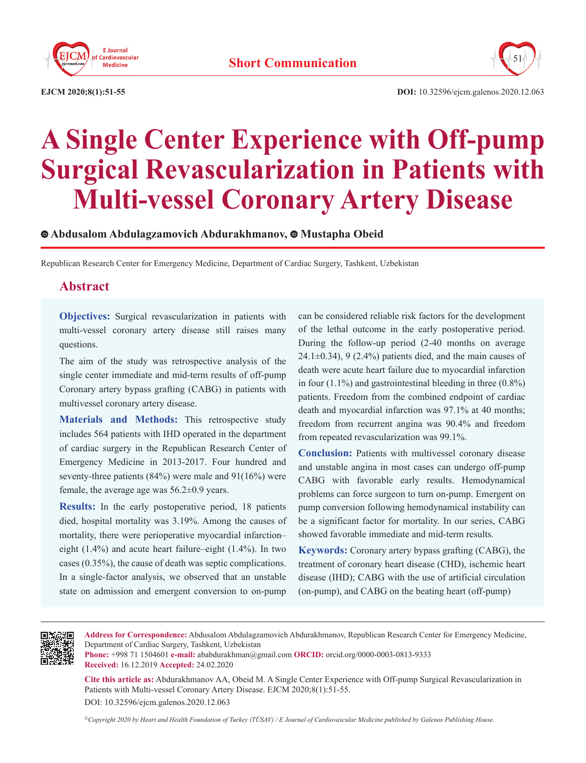



# **A Single Center Experience with Off-pump Surgical Revascularization in Patients with Multi-vessel Coronary Artery Disease**

**Abdusalom Abdulagzamovich Abdurakhmanov,Mustapha Obeid**

Republican Research Center for Emergency Medicine, Department of Cardiac Surgery, Tashkent, Uzbekistan

# **Abstract**

**Objectives:** Surgical revascularization in patients with multi-vessel coronary artery disease still raises many questions.

The aim of the study was retrospective analysis of the single center immediate and mid-term results of off-pump Coronary artery bypass grafting (CABG) in patients with multivessel coronary artery disease.

**Materials and Methods:** This retrospective study includes 564 patients with IHD operated in the department of cardiac surgery in the Republican Research Center of Emergency Medicine in 2013-2017. Four hundred and seventy-three patients (84%) were male and 91(16%) were female, the average age was 56.2±0.9 years.

**Results:** In the early postoperative period, 18 patients died, hospital mortality was 3.19%. Among the causes of mortality, there were perioperative myocardial infarction– eight (1.4%) and acute heart failure–eight (1.4%). In two cases (0.35%), the cause of death was septic complications. In a single-factor analysis, we observed that an unstable state on admission and emergent conversion to on-pump

can be considered reliable risk factors for the development of the lethal outcome in the early postoperative period. During the follow-up period (2-40 months on average 24.1 $\pm$ 0.34), 9 (2.4%) patients died, and the main causes of death were acute heart failure due to myocardial infarction in four  $(1.1\%)$  and gastrointestinal bleeding in three  $(0.8\%)$ patients. Freedom from the combined endpoint of cardiac death and myocardial infarction was 97.1% at 40 months; freedom from recurrent angina was 90.4% and freedom from repeated revascularization was 99.1%.

**Conclusion:** Patients with multivessel coronary disease and unstable angina in most cases can undergo off-pump CABG with favorable early results. Hemodynamical problems can force surgeon to turn on-pump. Emergent on pump conversion following hemodynamical instability can be a significant factor for mortality. In our series, CABG showed favorable immediate and mid-term results.

**Keywords:** Coronary artery bypass grafting (CABG), the treatment of coronary heart disease (CHD), ischemic heart disease (IHD); CABG with the use of artificial circulation (on-pump), and CABG on the beating heart (off-pump)



**Address for Correspondence:** Abdusalom Abdulagzamovich Abdurakhmanov, Republican Research Center for Emergency Medicine, Department of Cardiac Surgery, Tashkent, Uzbekistan

**Phone:** +998 71 1504601 **e-mail:** ababdurakhman@gmail.com **ORCID:** orcid.org/0000-0003-0813-9333 **Received:** 16.12.2019 **Accepted:** 24.02.2020

**Cite this article as:** Abdurakhmanov AA, Obeid M. A Single Center Experience with Off-pump Surgical Revascularization in Patients with Multi-vessel Coronary Artery Disease. EJCM 2020;8(1):51-55.

DOI: 10.32596/ejcm.galenos.2020.12.063

*©Copyright 2020 by Heart and Health Foundation of Turkey (TÜSAV) / E Journal of Cardiovascular Medicine published by Galenos Publishing House.*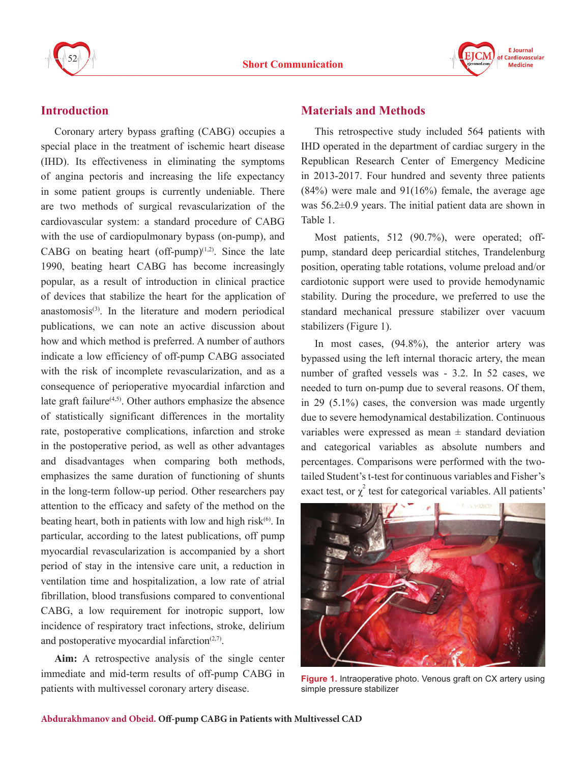



# **Introduction**

Coronary artery bypass grafting (CABG) occupies a special place in the treatment of ischemic heart disease (IHD). Its effectiveness in eliminating the symptoms of angina pectoris and increasing the life expectancy in some patient groups is currently undeniable. There are two methods of surgical revascularization of the cardiovascular system: a standard procedure of CABG with the use of cardiopulmonary bypass (on-pump), and CABG on beating heart (off-pump) $(1,2)$ . Since the late 1990, beating heart CABG has become increasingly popular, as a result of introduction in clinical practice of devices that stabilize the heart for the application of  $anastomosis<sup>(3)</sup>$ . In the literature and modern periodical publications, we can note an active discussion about how and which method is preferred. A number of authors indicate a low efficiency of off-pump CABG associated with the risk of incomplete revascularization, and as a consequence of perioperative myocardial infarction and late graft failure $(4,5)$ . Other authors emphasize the absence of statistically significant differences in the mortality rate, postoperative complications, infarction and stroke in the postoperative period, as well as other advantages and disadvantages when comparing both methods, emphasizes the same duration of functioning of shunts in the long-term follow-up period. Other researchers pay attention to the efficacy and safety of the method on the beating heart, both in patients with low and high risk $(6)$ . In particular, according to the latest publications, off pump myocardial revascularization is accompanied by a short period of stay in the intensive care unit, a reduction in ventilation time and hospitalization, a low rate of atrial fibrillation, blood transfusions compared to conventional CABG, a low requirement for inotropic support, low incidence of respiratory tract infections, stroke, delirium and postoperative myocardial infarction $(2,7)$ .

**Aim:** A retrospective analysis of the single center immediate and mid-term results of off-pump CABG in patients with multivessel coronary artery disease.

## **Materials and Methods**

This retrospective study included 564 patients with IHD operated in the department of cardiac surgery in the Republican Research Center of Emergency Medicine in 2013-2017. Four hundred and seventy three patients  $(84%)$  were male and  $91(16%)$  female, the average age was 56.2±0.9 years. The initial patient data are shown in Table 1.

Most patients, 512 (90.7%), were operated; offpump, standard deep pericardial stitches, Trandelenburg position, operating table rotations, volume preload and/or cardiotonic support were used to provide hemodynamic stability. During the procedure, we preferred to use the standard mechanical pressure stabilizer over vacuum stabilizers (Figure 1).

In most cases,  $(94.8\%)$ , the anterior artery was bypassed using the left internal thoracic artery, the mean number of grafted vessels was - 3.2. In 52 cases, we needed to turn on-pump due to several reasons. Of them, in 29 (5.1%) cases, the conversion was made urgently due to severe hemodynamical destabilization. Continuous variables were expressed as mean  $\pm$  standard deviation and categorical variables as absolute numbers and percentages. Comparisons were performed with the twotailed Student's t-test for continuous variables and Fisher's exact test, or  $\chi^2$  test for categorical variables. All patients'



**Figure 1.** Intraoperative photo. Venous graft on CX artery using simple pressure stabilizer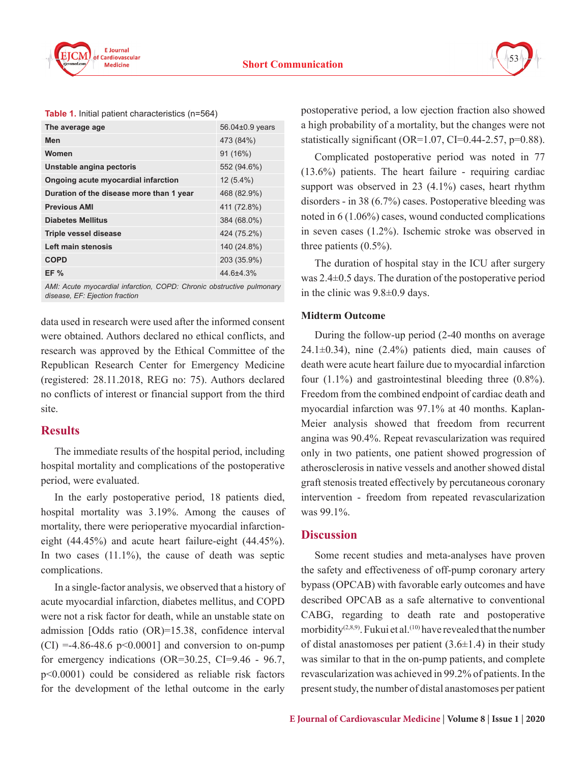



|  |  |  |  | Table 1. Initial patient characteristics (n=564) |  |
|--|--|--|--|--------------------------------------------------|--|
|--|--|--|--|--------------------------------------------------|--|

| The average age                          | 56.04±0.9 years |
|------------------------------------------|-----------------|
| Men                                      | 473 (84%)       |
| Women                                    | 91 (16%)        |
| Unstable angina pectoris                 | 552 (94.6%)     |
| Ongoing acute myocardial infarction      | $12(5.4\%)$     |
| Duration of the disease more than 1 year | 468 (82.9%)     |
| <b>Previous AMI</b>                      | 411 (72.8%)     |
| <b>Diabetes Mellitus</b>                 | 384 (68.0%)     |
| Triple vessel disease                    | 424 (75.2%)     |
| Left main stenosis                       | 140 (24.8%)     |
| <b>COPD</b>                              | 203 (35.9%)     |
| EF%                                      | $44.6{\pm}4.3%$ |

*AMI: Acute myocardial infarction, COPD: Chronic obstructive pulmonary disease, EF: Ejection fraction*

data used in research were used after the informed consent were obtained. Authors declared no ethical conflicts, and research was approved by the Ethical Committee of the Republican Research Center for Emergency Medicine (registered: 28.11.2018, REG no: 75). Authors declared no conflicts of interest or financial support from the third site.

## **Results**

The immediate results of the hospital period, including hospital mortality and complications of the postoperative period, were evaluated.

In the early postoperative period, 18 patients died, hospital mortality was 3.19%. Among the causes of mortality, there were perioperative myocardial infarctioneight (44.45%) and acute heart failure-eight (44.45%). In two cases  $(11.1\%)$ , the cause of death was septic complications.

In a single-factor analysis, we observed that a history of acute myocardial infarction, diabetes mellitus, and COPD were not a risk factor for death, while an unstable state on admission [Odds ratio (OR)=15.38, confidence interval  $(CI) = -4.86 - 48.6$  p<0.0001] and conversion to on-pump for emergency indications (OR=30.25, CI=9.46 - 96.7, p˂0.0001) could be considered as reliable risk factors for the development of the lethal outcome in the early

postoperative period, a low ejection fraction also showed a high probability of a mortality, but the changes were not statistically significant (OR=1.07, CI=0.44-2.57, p=0.88).

Complicated postoperative period was noted in 77 (13.6%) patients. The heart failure - requiring cardiac support was observed in 23 (4.1%) cases, heart rhythm disorders - in 38 (6.7%) cases. Postoperative bleeding was noted in 6 (1.06%) cases, wound conducted complications in seven cases (1.2%). Ischemic stroke was observed in three patients (0.5%).

The duration of hospital stay in the ICU after surgery was 2.4±0.5 days. The duration of the postoperative period in the clinic was 9.8±0.9 days.

#### **Midterm Outcome**

During the follow-up period (2-40 months on average  $24.1\pm0.34$ ), nine (2.4%) patients died, main causes of death were acute heart failure due to myocardial infarction four (1.1%) and gastrointestinal bleeding three (0.8%). Freedom from the combined endpoint of cardiac death and myocardial infarction was 97.1% at 40 months. Kaplan-Meier analysis showed that freedom from recurrent angina was 90.4%. Repeat revascularization was required only in two patients, one patient showed progression of atherosclerosis in native vessels and another showed distal graft stenosis treated effectively by percutaneous coronary intervention - freedom from repeated revascularization was 99.1%.

#### **Discussion**

Some recent studies and meta-analyses have proven the safety and effectiveness of off-pump coronary artery bypass (OPCAB) with favorable early outcomes and have described OPCAB as a safe alternative to conventional CABG, regarding to death rate and postoperative morbidity<sup>(2,8,9)</sup>. Fukui et al.<sup>(10)</sup> have revealed that the number of distal anastomoses per patient  $(3.6\pm1.4)$  in their study was similar to that in the on-pump patients, and complete revascularization was achieved in 99.2% of patients. In the present study, the number of distal anastomoses per patient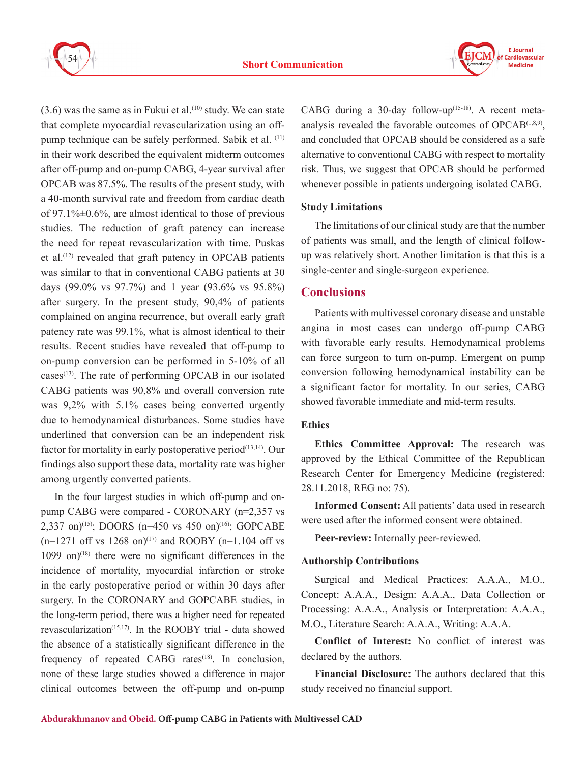



 $(3.6)$  was the same as in Fukui et al.<sup>(10)</sup> study. We can state that complete myocardial revascularization using an offpump technique can be safely performed. Sabik et al. (11) in their work described the equivalent midterm outcomes after off-pump and on-pump CABG, 4-year survival after OPCAB was 87.5%. The results of the present study, with a 40-month survival rate and freedom from cardiac death of 97.1% $\pm$ 0.6%, are almost identical to those of previous studies. The reduction of graft patency can increase the need for repeat revascularization with time. Puskas et al.<sup>(12)</sup> revealed that graft patency in OPCAB patients was similar to that in conventional CABG patients at 30 days (99.0% vs 97.7%) and 1 year (93.6% vs 95.8%) after surgery. In the present study, 90,4% of patients complained on angina recurrence, but overall early graft patency rate was 99.1%, what is almost identical to their results. Recent studies have revealed that off-pump to on-pump conversion can be performed in 5-10% of all cases<sup>(13)</sup>. The rate of performing OPCAB in our isolated CABG patients was 90,8% and overall conversion rate was 9,2% with 5.1% cases being converted urgently due to hemodynamical disturbances. Some studies have underlined that conversion can be an independent risk factor for mortality in early postoperative period<sup>(13,14)</sup>. Our findings also support these data, mortality rate was higher among urgently converted patients.

In the four largest studies in which off-pump and onpump CABG were compared - CORONARY (n=2,357 vs 2,337 on)<sup>(15)</sup>; DOORS (n=450 vs 450 on)<sup>(16)</sup>; GOPCABE  $(n=1271 \text{ off vs } 1268 \text{ on})^{(17)}$  and ROOBY  $(n=1.104 \text{ off vs } 1268 \text{ on})^{(17)}$  $1099$  on)<sup>(18)</sup> there were no significant differences in the incidence of mortality, myocardial infarction or stroke in the early postoperative period or within 30 days after surgery. In the CORONARY and GOPCABE studies, in the long-term period, there was a higher need for repeated revascularization<sup> $(15,17)$ </sup>. In the ROOBY trial - data showed the absence of a statistically significant difference in the frequency of repeated CABG rates $(18)$ . In conclusion, none of these large studies showed a difference in major clinical outcomes between the off-pump and on-pump

CABG during a 30-day follow-up $(15-18)$ . A recent metaanalysis revealed the favorable outcomes of  $OPCAB^{(1,8,9)}$ , and concluded that OPCAB should be considered as a safe alternative to conventional CABG with respect to mortality risk. Thus, we suggest that OPCAB should be performed whenever possible in patients undergoing isolated CABG.

#### **Study Limitations**

The limitations of our clinical study are that the number of patients was small, and the length of clinical followup was relatively short. Another limitation is that this is a single-center and single-surgeon experience.

## **Conclusions**

Patients with multivessel coronary disease and unstable angina in most cases can undergo off-pump CABG with favorable early results. Hemodynamical problems can force surgeon to turn on-pump. Emergent on pump conversion following hemodynamical instability can be a significant factor for mortality. In our series, CABG showed favorable immediate and mid-term results.

## **Ethics**

**Ethics Committee Approval:** The research was approved by the Ethical Committee of the Republican Research Center for Emergency Medicine (registered: 28.11.2018, REG no: 75).

**Informed Consent:** All patients' data used in research were used after the informed consent were obtained.

**Peer-review:** Internally peer-reviewed.

## **Authorship Contributions**

Surgical and Medical Practices: A.A.A., M.O., Concept: A.A.A., Design: A.A.A., Data Collection or Processing: A.A.A., Analysis or Interpretation: A.A.A., M.O., Literature Search: A.A.A., Writing: A.A.A.

**Conflict of Interest:** No conflict of interest was declared by the authors.

**Financial Disclosure:** The authors declared that this study received no financial support.